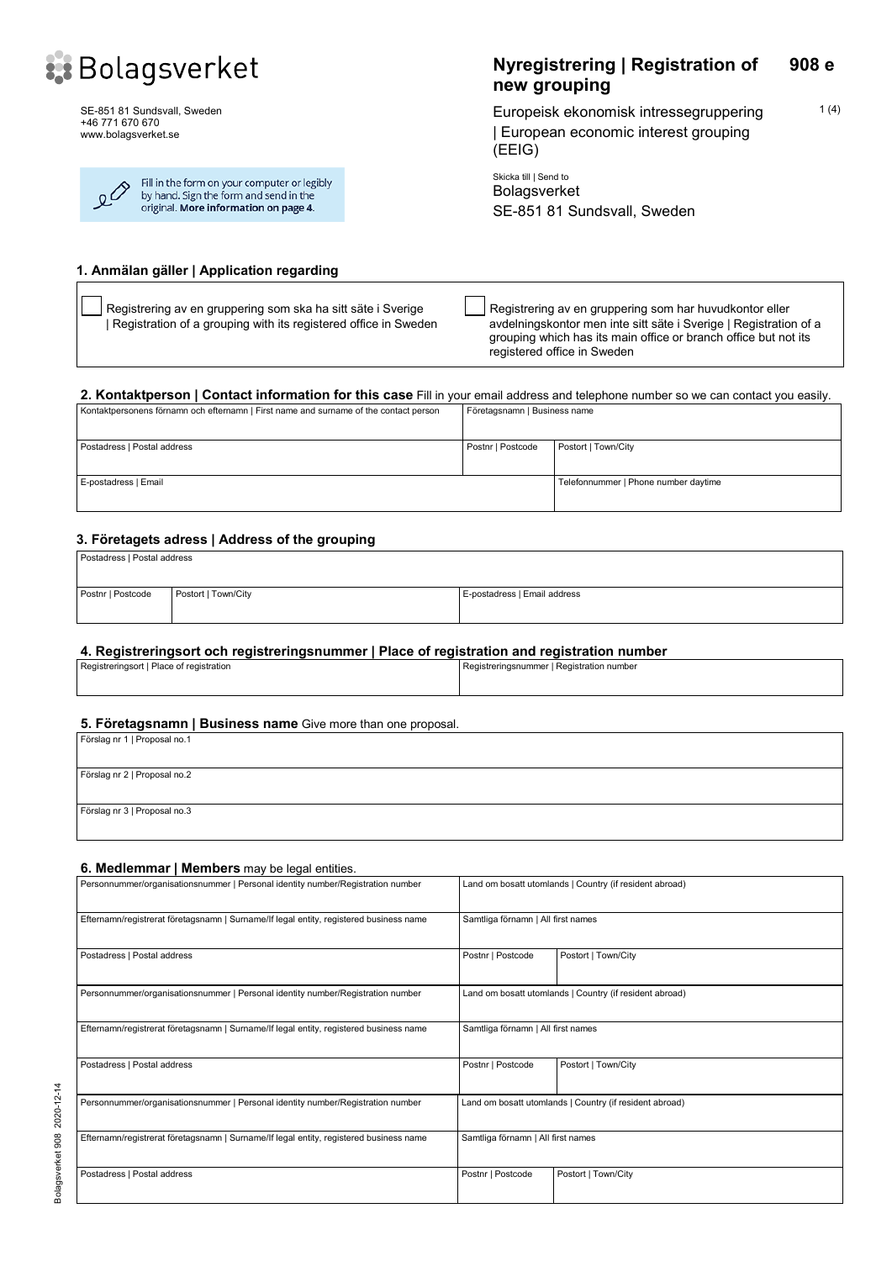

SE-851 81 Sundsvall, Sweden +46 771 670 670 www.bolagsverket.se

| $\mathcal{L}^{\diamondsuit}$ | Fill in the form on your computer or legibly<br>by hand. Sign the form and send in the<br>original. More information on page 4. |
|------------------------------|---------------------------------------------------------------------------------------------------------------------------------|
|                              |                                                                                                                                 |

#### **Nyregistrering | Registration of new grouping 908 e**

 $1(4)$ 

Europeisk ekonomisk intressegruppering | European economic interest grouping (EEIG)

Skicka till | Send to Bolagsverket SE-851 81 Sundsvall, Sweden

#### **1. Anmälan gäller | Application regarding**

Registrering av en gruppering som ska ha sitt säte i Sverige | Registration of a grouping with its registered office in Sweden Registrering av en gruppering som har huvudkontor eller avdelningskontor men inte sitt säte i Sverige | Registration of a grouping which has its main office or branch office but not its registered office in Sweden

## **2. Kontaktperson | Contact information for this case** Fill in your email address and telephone number so we can contact you easily.

| Kontaktpersonens förnamn och efternamn   First name and surname of the contact person | Företagsnamn   Business name |                                      |
|---------------------------------------------------------------------------------------|------------------------------|--------------------------------------|
| Postadress   Postal address                                                           | Postnr   Postcode            | Postort   Town/City                  |
| E-postadress   Email                                                                  |                              | Telefonnummer   Phone number daytime |

#### **3. Företagets adress | Address of the grouping**

| Postadress   Postal address |                     |                              |
|-----------------------------|---------------------|------------------------------|
| Postnr   Postcode           | Postort   Town/City | E-postadress   Email address |

#### **4. Registreringsort och registreringsnummer | Place of registration and registration number**

| Registreringsort I Place of registration |  | I Registreringsnummer I Registration number |
|------------------------------------------|--|---------------------------------------------|
|                                          |  |                                             |
|                                          |  |                                             |

#### **5. Företagsnamn | Business name** Give more than one proposal.

| Förslag nr 1   Proposal no.1 |  |  |  |
|------------------------------|--|--|--|
|                              |  |  |  |
| Förslag nr 2   Proposal no.2 |  |  |  |
|                              |  |  |  |
| Förslag nr 3   Proposal no.3 |  |  |  |
|                              |  |  |  |

# **6. Medlemmar | Members** may be legal entities. Personnummer/organisationsnummer | Personal identity number/Registration number Land om bosatt utomlands | Country (if resident abroad) Efternamn/registrerat företagsnamn | Surname/If legal entity, registered business name Samtliga förnamn | All first names Postadress | Postal address | Postal address | Postal address | Postal address | Postal address | Postort | Town/City Personnummer/organisationsnummer | Personal identity number/Registration number Land om bosatt utomlands | Country (if resident abroad) Efternamn/registrerat företagsnamn | Surname/If legal entity, registered business name Samtliga förnamn | All first names Postadress | Postal address | Postal address | Postal address | Postort | Town/City | Postort | Town/City | Postort | Town/City | Postal address | Postort | Town/City | Postort | Town/City | Postort | Town/City | Postort | Personnummer/organisationsnummer | Personal identity number/Registration number Land om bosatt utomlands | Country (if resident abroad) Efternamn/registrerat företagsnamn | Surname/If legal entity, registered business name Samtliga förnamn | All first names Postadress | Postal address | Postal address | Postal address | Postal address | Postal address | Postal address | Postal address | Postal address | Postal address | Postal address | Postal address | Postal address | Posta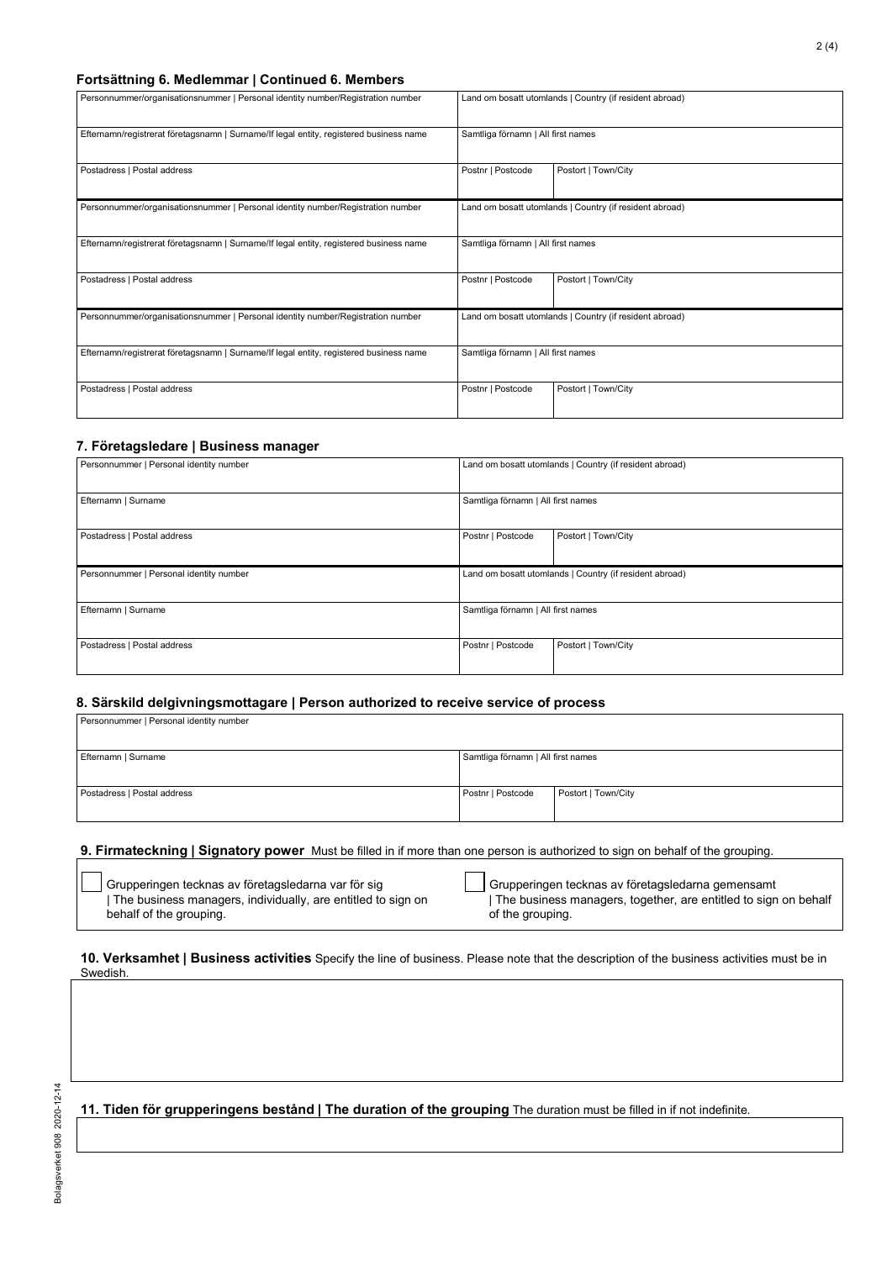#### **Fortsättning 6. Medlemmar | Continued 6. Members**

| Personnummer/organisationsnummer   Personal identity number/Registration number        |                                    | Land om bosatt utomlands   Country (if resident abroad) |
|----------------------------------------------------------------------------------------|------------------------------------|---------------------------------------------------------|
| Efternamn/registrerat företagsnamn   Surname/If legal entity, registered business name | Samtliga förnamn   All first names |                                                         |
| Postadress   Postal address                                                            | Postnr   Postcode                  | Postort   Town/City                                     |
| Personnummer/organisationsnummer   Personal identity number/Registration number        |                                    | Land om bosatt utomlands   Country (if resident abroad) |
| Efternamn/registrerat företagsnamn   Surname/If legal entity, registered business name | Samtliga förnamn   All first names |                                                         |
| Postadress   Postal address                                                            | Postnr   Postcode                  | Postort   Town/City                                     |
| Personnummer/organisationsnummer   Personal identity number/Registration number        |                                    | Land om bosatt utomlands   Country (if resident abroad) |
| Efternamn/registrerat företagsnamn   Surname/If legal entity, registered business name | Samtliga förnamn   All first names |                                                         |
| Postadress   Postal address                                                            | Postnr   Postcode                  | Postort   Town/City                                     |

#### **7. Företagsledare | Business manager**

| Personnummer   Personal identity number |                                    | Land om bosatt utomlands   Country (if resident abroad) |
|-----------------------------------------|------------------------------------|---------------------------------------------------------|
| Efternamn   Surname                     | Samtliga förnamn   All first names |                                                         |
| Postadress   Postal address             | Postnr   Postcode                  | Postort   Town/City                                     |
| Personnummer   Personal identity number |                                    | Land om bosatt utomlands   Country (if resident abroad) |
| Efternamn   Surname                     | Samtliga förnamn   All first names |                                                         |
| Postadress   Postal address             | Postnr   Postcode                  | Postort   Town/City                                     |

#### **8. Särskild delgivningsmottagare | Person authorized to receive service of process**

| Personnummer   Personal identity number |                                    |                     |
|-----------------------------------------|------------------------------------|---------------------|
| Efternamn   Surname                     | Samtliga förnamn   All first names |                     |
| Postadress   Postal address             | Postnr   Postcode                  | Postort   Town/City |

#### **9. Firmateckning | Signatory power** Must be filled in if more than one person is authorized to sign on behalf of the grouping.

| Grupperingen tecknas av företagsledarna var för sig          |
|--------------------------------------------------------------|
| The business managers, individually, are entitled to sign on |
| behalf of the grouping.                                      |

Grupperingen tecknas av företagsledarna gemensamt | The business managers, together, are entitled to sign on behalf of the grouping.

#### **10. Verksamhet | Business activities** Specify the line of business. Please note that the description of the business activities must be in Swedish.

**11. Tiden för grupperingens bestånd | The duration of the grouping** The duration must be filled in if not indefinite.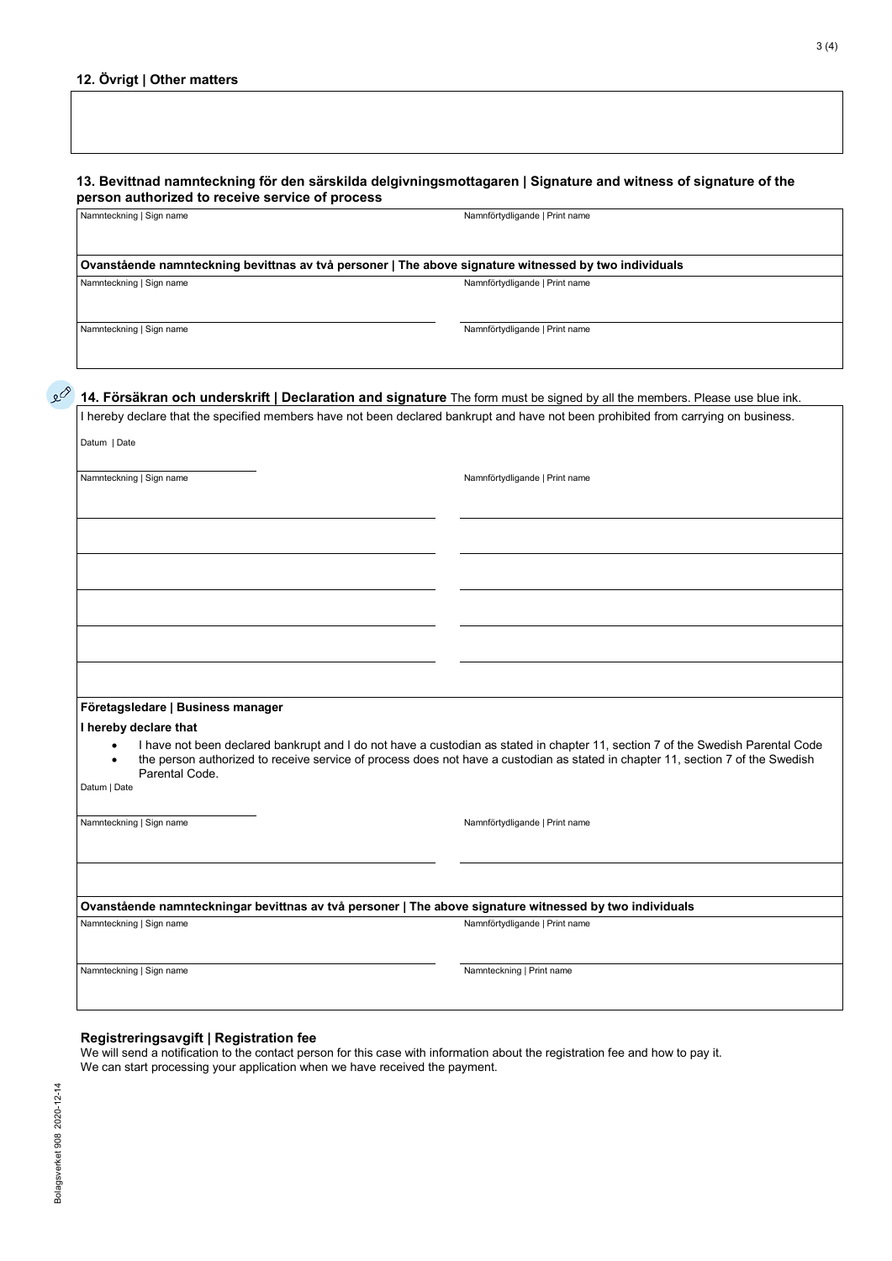| 13. Bevittnad namnteckning för den särskilda delgivningsmottagaren   Signature and witness of signature of the |                                |  |
|----------------------------------------------------------------------------------------------------------------|--------------------------------|--|
| person authorized to receive service of process                                                                |                                |  |
| Namnteckning   Sign name                                                                                       | Namnförtydligande   Print name |  |

**Ovanstående namnteckning bevittnas av två personer | The above signature witnessed by two individuals**  Namnteckning | Sign name Namnförtydligande | Print name Namnförtydligande | Print name

Namnteckning | Sign name Namnförtydligande | Print name

# **14. Försäkran och underskrift | Declaration and signature** The form must be signed by all the members. Please use blue ink.

I hereby declare that the specified members have not been declared bankrupt and have not been prohibited from carrying on business. Datum | Date

Namnteckning | Sign name Namnförtydligande | Print name Namnförtydligande | Print name

#### **Företagsledare | Business manager**

**I hereby declare that**

- I have not been declared bankrupt and I do not have a custodian as stated in chapter 11, section 7 of the Swedish Parental Code
- the person authorized to receive service of process does not have a custodian as stated in chapter 11, section 7 of the Swedish Parental Code.

Datum | Date

Namnteckning | Sign name Namnförtydligande | Print name Namnförtydligande | Print name

**Ovanstående namnteckningar bevittnas av två personer | The above signature witnessed by two individuals**

Namnteckning | Sign name Namnförtydligande | Print name

Namnteckning | Sign name Namnteckning | Print name

#### **Registreringsavgift | Registration fee**

We will send a notification to the contact person for this case with information about the registration fee and how to pay it. We can start processing your application when we have received the payment.